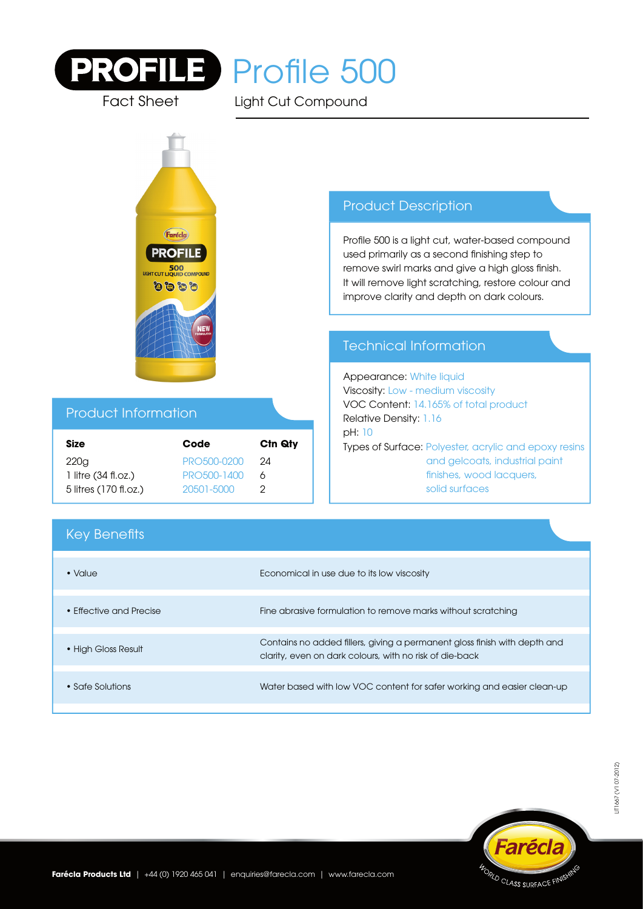

# Fact Sheet



## Product Information

| Size                  | Code        | C <sub>tn</sub> Q <sub>ty</sub> |
|-----------------------|-------------|---------------------------------|
| 220 <sub>G</sub>      | PRO500-0200 | 24                              |
| $1$ litre (34 fl.oz.) | PRO500-1400 | Α                               |
| 5 litres (170 fl.oz.) | 20501-5000  |                                 |

# **Key Benefits**

| $\bullet$ Value          | Economical in use due to its low viscosity                                                                                           |
|--------------------------|--------------------------------------------------------------------------------------------------------------------------------------|
|                          |                                                                                                                                      |
| • Effective and Precise  | Fine abrasive formulation to remove marks without scratching                                                                         |
|                          |                                                                                                                                      |
| • High Gloss Result      | Contains no added fillers, giving a permanent gloss finish with depth and<br>clarity, even on dark colours, with no risk of die-back |
|                          |                                                                                                                                      |
| $\bullet$ Safe Solutions | Water based with low VOC content for safer working and easier clean-up                                                               |



Light Cut Compound

# Product Description

Profile 500 is a light cut, water-based compound used primarily as a second finishing step to remove swirl marks and give a high gloss finish. It will remove light scratching, restore colour and improve clarity and depth on dark colours.

### Technical Information

Appearance: White liquid Viscosity: Low - medium viscosity VOC Content: 14.165% of total product Relative Density: 1.16 pH: 10 Types of Surface: Polyester, acrylic and epoxy resins and gelcoats, industrial paint finishes, wood lacquers, solid surfaces